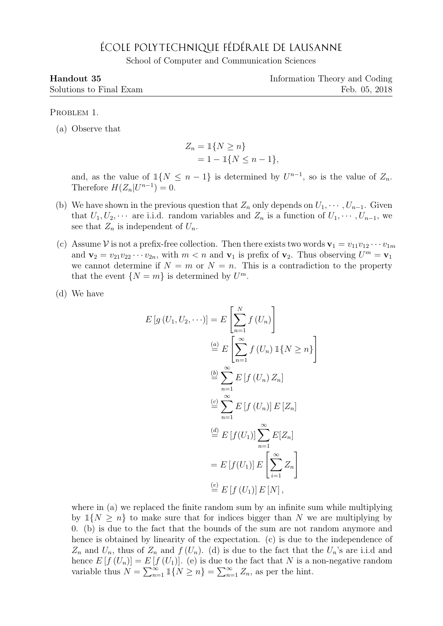## ÉCOLE POLYTECHNIQUE FÉDÉRALE DE LAUSANNE

School of Computer and Communication Sciences

| Handout 35              | Information Theory and Coding |
|-------------------------|-------------------------------|
| Solutions to Final Exam | Feb. 05, 2018                 |

## PROBLEM 1.

(a) Observe that

$$
Z_n = \mathbb{1}\{N \ge n\}
$$
  
= 1 - \mathbb{1}\{N \le n - 1\},

and, as the value of  $\mathbb{1}{N \leq n-1}$  is determined by  $U^{n-1}$ , so is the value of  $Z_n$ . Therefore  $H(Z_n|U^{n-1})=0$ .

- (b) We have shown in the previous question that  $Z_n$  only depends on  $U_1, \dots, U_{n-1}$ . Given that  $U_1, U_2, \cdots$  are i.i.d. random variables and  $Z_n$  is a function of  $U_1, \cdots, U_{n-1}$ , we see that  $Z_n$  is independent of  $U_n$ .
- (c) Assume V is not a prefix-free collection. Then there exists two words  $\mathbf{v}_1 = v_{11}v_{12} \cdots v_{1m}$ and  $\mathbf{v}_2 = v_{21}v_{22}\cdots v_{2n}$ , with  $m < n$  and  $\mathbf{v}_1$  is prefix of  $\mathbf{v}_2$ . Thus observing  $U^m = \mathbf{v}_1$ we cannot determine if  $N = m$  or  $N = n$ . This is a contradiction to the property that the event  $\{N = m\}$  is determined by  $U^m$ .
- (d) We have

$$
E[g(U_1, U_2, \cdots)] = E\left[\sum_{n=1}^{N} f(U_n)\right]
$$
  
\n
$$
\stackrel{(a)}{=} E\left[\sum_{n=1}^{\infty} f(U_n) \mathbb{1}\{N \ge n\}\right]
$$
  
\n
$$
\stackrel{(b)}{=} \sum_{n=1}^{\infty} E[f(U_n) Z_n]
$$
  
\n
$$
\stackrel{(c)}{=} \sum_{n=1}^{\infty} E[f(U_n)] E[Z_n]
$$
  
\n
$$
\stackrel{(d)}{=} E[f(U_1)] \sum_{n=1}^{\infty} E[Z_n]
$$
  
\n
$$
= E[f(U_1)] E\left[\sum_{i=1}^{\infty} Z_n\right]
$$
  
\n
$$
\stackrel{(e)}{=} E[f(U_1)] E[N],
$$

where in (a) we replaced the finite random sum by an infinite sum while multiplying by  $\mathbb{1}{N > n}$  to make sure that for indices bigger than N we are multiplying by 0. (b) is due to the fact that the bounds of the sum are not random anymore and hence is obtained by linearity of the expectation. (c) is due to the independence of  $Z_n$  and  $U_n$ , thus of  $Z_n$  and  $f(U_n)$ . (d) is due to the fact that the  $U_n$ 's are i.i.d and hence  $E[f(U_n)] = E[f(U_1)]$ . (e) is due to the fact that N is a non-negative random variable thus  $N = \sum_{n=1}^{\infty} \mathbb{1}\{N \geq n\} = \sum_{n=1}^{\infty} Z_n$ , as per the hint.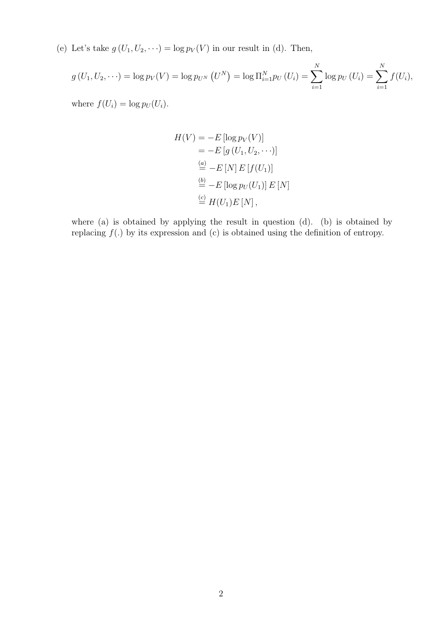(e) Let's take  $g(U_1, U_2, \dots) = \log p_V(V)$  in our result in (d). Then,

$$
g(U_1, U_2, \dots) = \log p_V(V) = \log p_{U^N} (U^N) = \log \Pi_{i=1}^N p_U (U_i) = \sum_{i=1}^N \log p_U (U_i) = \sum_{i=1}^N f(U_i),
$$

where  $f(U_i) = \log p_U(U_i)$ .

$$
H(V) = -E \left[ \log p_V(V) \right]
$$
  
=  $-E \left[ g \left( U_1, U_2, \cdots \right) \right]$   
 $\stackrel{(a)}{=} -E \left[ N \right] E \left[ f(U_1) \right]$   
 $\stackrel{(b)}{=} -E \left[ \log p_U(U_1) \right] E \left[ N \right]$   
 $\stackrel{(c)}{=} H(U_1) E \left[ N \right],$ 

where (a) is obtained by applying the result in question (d). (b) is obtained by replacing  $f(.)$  by its expression and (c) is obtained using the definition of entropy.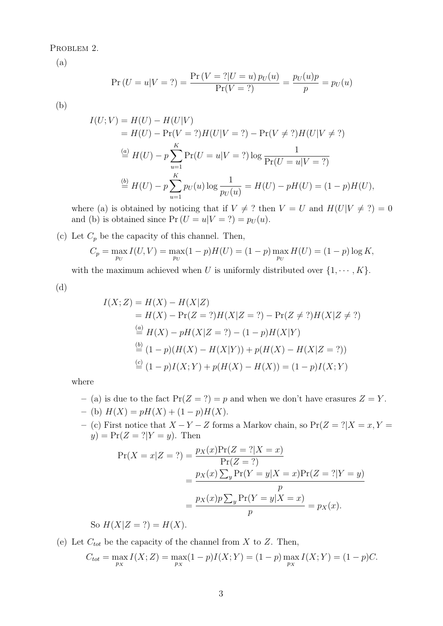PROBLEM 2.

(a)

$$
\Pr(U = u|V = ?) = \frac{\Pr(V = ?|U = u) p_U(u)}{\Pr(V = ?)} = \frac{p_U(u)p}{p} = p_U(u)
$$

(b)

$$
I(U;V) = H(U) - H(U|V)
$$
  
=  $H(U) - \Pr(V = ?)H(U|V = ?) - \Pr(V \neq ?)H(U|V \neq ?)$   

$$
\stackrel{(a)}{=} H(U) - p \sum_{u=1}^{K} \Pr(U = u|V = ?) \log \frac{1}{\Pr(U = u|V = ?)}
$$
  

$$
\stackrel{(b)}{=} H(U) - p \sum_{u=1}^{K} p_U(u) \log \frac{1}{p_U(u)} = H(U) - pH(U) = (1 - p)H(U),
$$

where (a) is obtained by noticing that if  $V \neq ?$  then  $V = U$  and  $H(U|V \neq ?) = 0$ and (b) is obtained since  $Pr(U = u|V = ?) = p_U(u)$ .

(c) Let  $C_p$  be the capacity of this channel. Then,

$$
C_p = \max_{p_U} I(U, V) = \max_{p_U} (1 - p)H(U) = (1 - p) \max_{p_U} H(U) = (1 - p) \log K,
$$

with the maximum achieved when U is uniformly distributed over  $\{1, \dots, K\}$ .

(d)

$$
I(X; Z) = H(X) - H(X|Z)
$$
  
=  $H(X) - \Pr(Z = ?)H(X|Z = ?) - \Pr(Z \neq ?)H(X|Z \neq ?)$   
 $\stackrel{(a)}{=} H(X) - pH(X|Z = ?) - (1 - p)H(X|Y)$   
 $\stackrel{(b)}{=} (1 - p)(H(X) - H(X|Y)) + p(H(X) - H(X|Z = ?))$   
 $\stackrel{(c)}{=} (1 - p)I(X; Y) + p(H(X) - H(X)) = (1 - p)I(X; Y)$ 

where

- (a) is due to the fact  $Pr(Z = ?) = p$  and when we don't have erasures  $Z = Y$ . – (b)  $H(X) = pH(X) + (1 - p)H(X)$ .
- (c) First notice that  $X Y Z$  forms a Markov chain, so  $Pr(Z = ? | X = x, Y = z)$  $y) = Pr(Z = ? | Y = y)$ . Then

$$
\Pr(X = x | Z = ?) = \frac{p_X(x)\Pr(Z = ? | X = x)}{\Pr(Z = ?)} \\
= \frac{p_X(x)\sum_y \Pr(Y = y | X = x)\Pr(Z = ? | Y = y)}{p} \\
= \frac{p_X(x)p\sum_y \Pr(Y = y | X = x)}{p} = p_X(x).
$$

So  $H(X|Z = ?) = H(X)$ .

(e) Let  $C_{tot}$  be the capacity of the channel from X to Z. Then,

$$
C_{tot} = \max_{p_X} I(X; Z) = \max_{p_X} (1 - p)I(X; Y) = (1 - p) \max_{p_X} I(X; Y) = (1 - p)C.
$$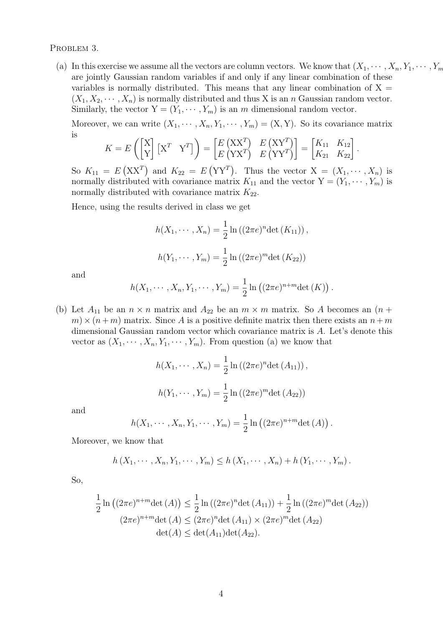PROBLEM 3.

(a) In this exercise we assume all the vectors are column vectors. We know that  $(X_1, \dots, X_n, Y_1, \dots, Y_m)$ are jointly Gaussian random variables if and only if any linear combination of these variables is normally distributed. This means that any linear combination of  $X =$  $(X_1, X_2, \dots, X_n)$  is normally distributed and thus X is an n Gaussian random vector. Similarly, the vector  $Y = (Y_1, \dots, Y_m)$  is an m dimensional random vector.

Moreover, we can write  $(X_1, \dots, X_n, Y_1, \dots, Y_m) = (X, Y)$ . So its covariance matrix is

$$
K = E\left(\begin{bmatrix} X \\ Y \end{bmatrix} \begin{bmatrix} X^T & Y^T \end{bmatrix}\right) = \begin{bmatrix} E\begin{bmatrix} XX^T \end{bmatrix} & E\begin{bmatrix} XY^T \end{bmatrix} \\ E\begin{bmatrix} YX^T \end{bmatrix} & E\begin{bmatrix} YY^T \end{bmatrix} \end{bmatrix} = \begin{bmatrix} K_{11} & K_{12} \\ K_{21} & K_{22} \end{bmatrix}.
$$

So  $K_{11} = E(XX^T)$  and  $K_{22} = E(YY^T)$ . Thus the vector  $X = (X_1, \dots, X_n)$  is normally distributed with covariance matrix  $K_{11}$  and the vector  $Y = (Y_1, \dots, Y_m)$  is normally distributed with covariance matrix  $K_{22}$ .

Hence, using the results derived in class we get

$$
h(X_1, \dots, X_n) = \frac{1}{2} \ln ((2\pi e)^n \det (K_{11})),
$$
  

$$
h(Y_1, \dots, Y_m) = \frac{1}{2} \ln ((2\pi e)^m \det (K_{22}))
$$

and

$$
h(X_1, \dots, X_n, Y_1, \dots, Y_m) = \frac{1}{2} \ln ((2\pi e)^{n+m} \det(K)).
$$

(b) Let  $A_{11}$  be an  $n \times n$  matrix and  $A_{22}$  be an  $m \times m$  matrix. So A becomes an  $(n +$  $m \times (n + m)$  matrix. Since A is a positive definite matrix then there exists an  $n + m$ dimensional Gaussian random vector which covariance matrix is A. Let's denote this vector as  $(X_1, \dots, X_n, Y_1, \dots, Y_m)$ . From question (a) we know that

$$
h(X_1, \dots, X_n) = \frac{1}{2} \ln ((2\pi e)^n \det (A_{11})),
$$
  

$$
h(Y_1, \dots, Y_m) = \frac{1}{2} \ln ((2\pi e)^m \det (A_{22}))
$$

and

$$
h(X_1, \dots, X_n, Y_1, \dots, Y_m) = \frac{1}{2} \ln ((2\pi e)^{n+m} \det (A)).
$$

Moreover, we know that

$$
h(X_1, \dots, X_n, Y_1, \dots, Y_m) \le h(X_1, \dots, X_n) + h(Y_1, \dots, Y_m).
$$

So,

$$
\frac{1}{2}\ln((2\pi e)^{n+m}\det(A)) \le \frac{1}{2}\ln((2\pi e)^{n}\det(A_{11})) + \frac{1}{2}\ln((2\pi e)^{m}\det(A_{22}))
$$
  

$$
(2\pi e)^{n+m}\det(A) \le (2\pi e)^{n}\det(A_{11}) \times (2\pi e)^{m}\det(A_{22})
$$
  

$$
\det(A) \le \det(A_{11})\det(A_{22}).
$$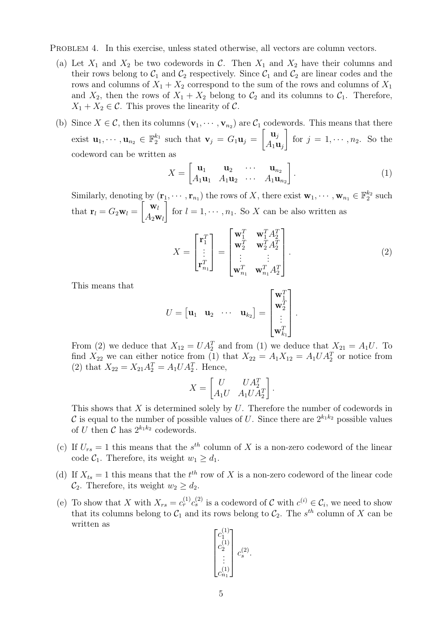PROBLEM 4. In this exercise, unless stated otherwise, all vectors are column vectors.

- (a) Let  $X_1$  and  $X_2$  be two codewords in C. Then  $X_1$  and  $X_2$  have their columns and their rows belong to  $C_1$  and  $C_2$  respectively. Since  $C_1$  and  $C_2$  are linear codes and the rows and columns of  $X_1 + X_2$  correspond to the sum of the rows and columns of  $X_1$ and  $X_2$ , then the rows of  $X_1 + X_2$  belong to  $C_2$  and its columns to  $C_1$ . Therefore,  $X_1 + X_2 \in \mathcal{C}$ . This proves the linearity of  $\mathcal{C}$ .
- (b) Since  $X \in \mathcal{C}$ , then its columns  $(\mathbf{v}_1, \dots, \mathbf{v}_{n_2})$  are  $\mathcal{C}_1$  codewords. This means that there exist  $\mathbf{u}_1, \dots, \mathbf{u}_{n_2} \in \mathbb{F}_2^{k_1}$  such that  $\mathbf{v}_j = G_1 \mathbf{u}_j =$  $\begin{bmatrix} \mathbf{u}_j \end{bmatrix}$  $A_1$ **u**<sub>j</sub> 1 for  $j = 1, \dots, n_2$ . So the codeword can be written as

$$
X = \begin{bmatrix} \mathbf{u}_1 & \mathbf{u}_2 & \cdots & \mathbf{u}_{n_2} \\ A_1 \mathbf{u}_1 & A_1 \mathbf{u}_2 & \cdots & A_1 \mathbf{u}_{n_2} \end{bmatrix} .
$$
 (1)

Similarly, denoting by  $(\mathbf{r}_1, \dots, \mathbf{r}_{n_1})$  the rows of X, there exist  $\mathbf{w}_1, \dots, \mathbf{w}_{n_1} \in \mathbb{F}_2^{k_2}$  such that  $\mathbf{r}_l = G_2 \mathbf{w}_l =$  $\left[\begin{array}{cc} \mathbf{w}_l \end{array}\right]$  $A_2\mathbf{w}_l$ 1 for  $l = 1, \dots, n_1$ . So X can be also written as

$$
X = \begin{bmatrix} \mathbf{r}_1^T \\ \vdots \\ \mathbf{r}_{n_1}^T \end{bmatrix} = \begin{bmatrix} \mathbf{w}_1^T & \mathbf{w}_1^T A_2^T \\ \mathbf{w}_2^T & \mathbf{w}_2^T A_2^T \\ \vdots & \vdots \\ \mathbf{w}_{n_1}^T & \mathbf{w}_{n_1}^T A_2^T \end{bmatrix} .
$$
 (2)

.

.

This means that

$$
U = \begin{bmatrix} \mathbf{u}_1 & \mathbf{u}_2 & \cdots & \mathbf{u}_{k_2} \end{bmatrix} = \begin{bmatrix} \mathbf{w}_1^T \\ \mathbf{w}_2^T \\ \vdots \\ \mathbf{w}_{k_1}^T \end{bmatrix}
$$

From (2) we deduce that  $X_{12} = UA_2^T$  and from (1) we deduce that  $X_{21} = A_1U$ . To find  $X_{22}$  we can either notice from (1) that  $X_{22} = A_1 X_{12} = A_1 U A_2^T$  or notice from (2) that  $X_{22} = X_{21} A_2^T = A_1 U A_2^T$ . Hence,

$$
X = \begin{bmatrix} U & UA_2^T \\ A_1U & A_1UA_2^T \end{bmatrix}
$$

This shows that  $X$  is determined solely by  $U$ . Therefore the number of codewords in C is equal to the number of possible values of U. Since there are  $2^{k_1 k_2}$  possible values of U then C has  $2^{k_1 k_2}$  codewords.

- (c) If  $U_{rs} = 1$  this means that the  $s^{th}$  column of X is a non-zero codeword of the linear code  $C_1$ . Therefore, its weight  $w_1 \geq d_1$ .
- (d) If  $X_{ts} = 1$  this means that the  $t^{th}$  row of X is a non-zero codeword of the linear code  $\mathcal{C}_2$ . Therefore, its weight  $w_2 \geq d_2$ .
- (e) To show that X with  $X_{rs} = c_r^{(1)} c_s^{(2)}$  is a codeword of C with  $c^{(i)} \in C_i$ , we need to show that its columns belong to  $C_1$  and its rows belong to  $C_2$ . The s<sup>th</sup> column of X can be written as

$$
\begin{bmatrix} c_1^{(1)} \\ c_2^{(1)} \\ \vdots \\ c_{n_1}^{(1)} \end{bmatrix} c_s^{(2)}
$$

.